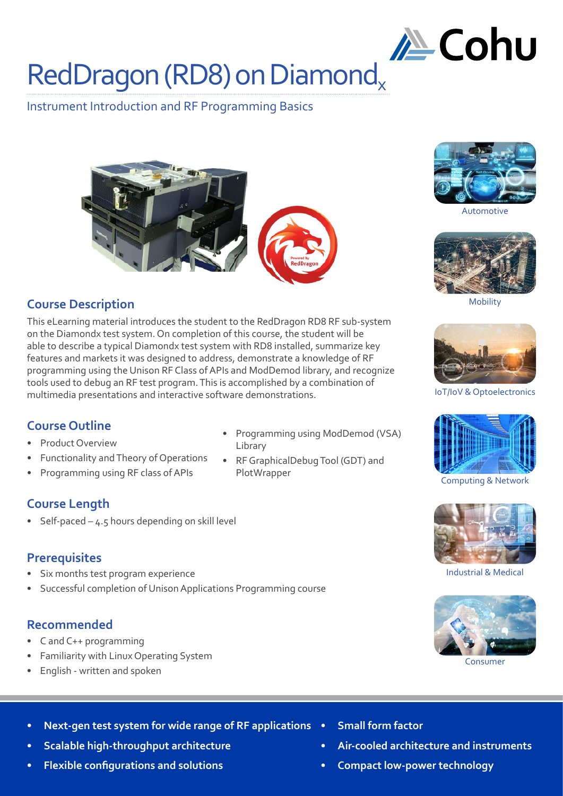# **∕ Eohu**

# RedDragon (RD8) on Diamond

Instrument Introduction and RF Programming Basics





# **Course Description**

This eLearning material introduces the student to the RedDragon RD8 RF sub-system on the Diamondx test system. On completion of this course, the student will be able to describe a typical Diamondx test system with RD8 installed, summarize key features and markets it was designed to address, demonstrate a knowledge of RF programming using the Unison RF Class of APIs and ModDemod library, and recognize tools used to debug an RF test program. This is accomplished by a combination of multimedia presentations and interactive software demonstrations. IoT/IoV & Optoelectronics

# **Course Outline**

- Product Overview
- Functionality and Theory of Operations
- Programming using RF class of APIs

# **Course Length**

Self-paced  $-$  4.5 hours depending on skill level

# **Prerequisites**

- Six months test program experience
- Successful completion of Unison Applications Programming course

# **Recommended**

- C and C++ programming
- Familiarity with Linux Operating System
- English written and spoken
- Programming using ModDemod (VSA) Library
- RF GraphicalDebug Tool (GDT) and PlotWrapper



Automotive



Mobility





Computing & Network



Industrial & Medical



Consumer

- **• Next-gen test system for wide range of RF applications**
- **• Scalable high-throughput architecture**
- **• Flexible configurations and solutions**
- **• Small form factor**
- **• Air-cooled architecture and instruments**
- **• Compact low-power technology**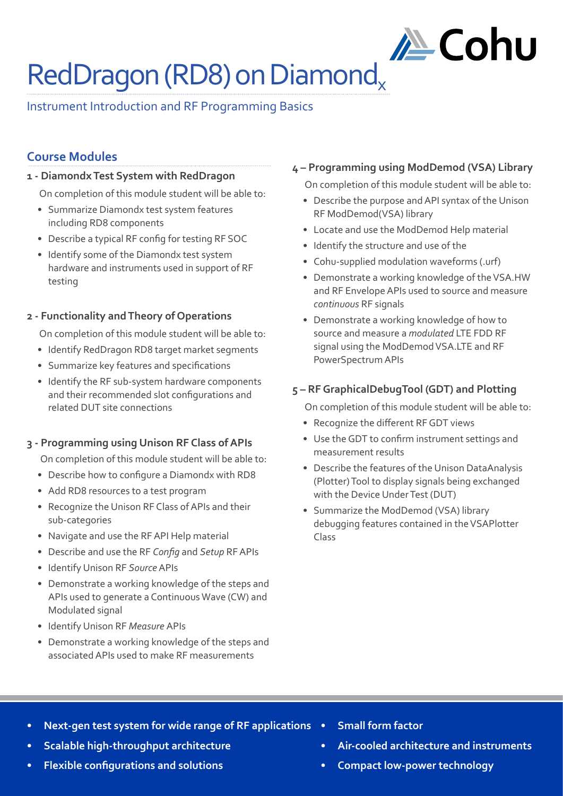# RedDragon (RD8) on Diamond<sub>v</sub>

# Instrument Introduction and RF Programming Basics

# **Course Modules**

#### **1 - Diamondx Test System with RedDragon**

On completion of this module student will be able to:

- Summarize Diamondx test system features including RD8 components
- Describe a typical RF config for testing RF SOC
- Identify some of the Diamondx test system hardware and instruments used in support of RF testing

#### **2 - Functionality and Theory of Operations**

On completion of this module student will be able to:

- Identify RedDragon RD8 target market segments
- Summarize key features and specifications
- Identify the RF sub-system hardware components and their recommended slot configurations and related DUT site connections

#### **3 - Programming using Unison RF Class of APIs**

On completion of this module student will be able to:

- Describe how to configure a Diamondx with RD8
- Add RD8 resources to a test program
- Recognize the Unison RF Class of APIs and their sub-categories
- Navigate and use the RF API Help material
- Describe and use the RF *Config* and *Setup* RF APIs
- Identify Unison RF *Source* APIs
- Demonstrate a working knowledge of the steps and APIs used to generate a Continuous Wave (CW) and Modulated signal
- Identify Unison RF *Measure* APIs
- Demonstrate a working knowledge of the steps and associated APIs used to make RF measurements

#### **4 – Programming using ModDemod (VSA) Library**

On completion of this module student will be able to:

**∕ Eohu** 

- Describe the purpose and API syntax of the Unison RF ModDemod(VSA) library
- Locate and use the ModDemod Help material
- Identify the structure and use of the
- Cohu-supplied modulation waveforms (.urf)
- Demonstrate a working knowledge of the VSA.HW and RF Envelope APIs used to source and measure *continuous* RF signals
- Demonstrate a working knowledge of how to source and measure a *modulated* LTE FDD RF signal using the ModDemod VSA.LTE and RF PowerSpectrum APIs

#### **5 – RF GraphicalDebugTool (GDT) and Plotting**

On completion of this module student will be able to:

- Recognize the different RF GDT views
- Use the GDT to confirm instrument settings and measurement results
- Describe the features of the Unison DataAnalysis (Plotter) Tool to display signals being exchanged with the Device Under Test (DUT)
- Summarize the ModDemod (VSA) library debugging features contained in the VSAPlotter Class

- **• Next-gen test system for wide range of RF applications**
- **• Scalable high-throughput architecture**
- **• Flexible configurations and solutions**
- **• Small form factor**
- **• Air-cooled architecture and instruments**
- **• Compact low-power technology**